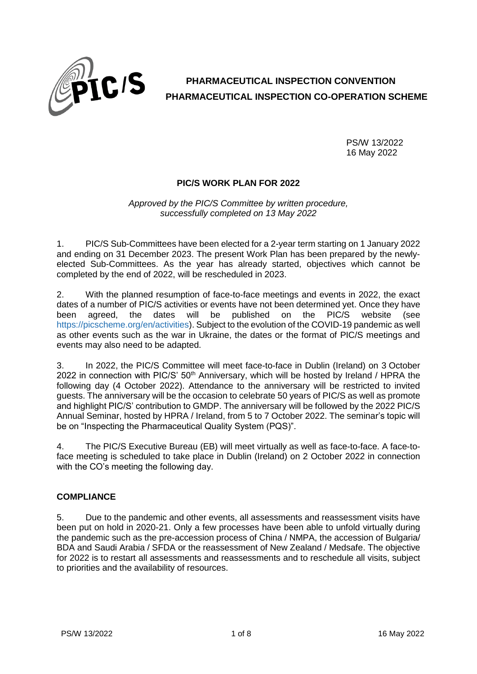

# **PHARMACEUTICAL INSPECTION CONVENTION PHARMACEUTICAL INSPECTION CO-OPERATION SCHEME**

PS/W 13/2022 16 May 2022

## **PIC/S WORK PLAN FOR 2022**

*Approved by the PIC/S Committee by written procedure, successfully completed on 13 May 2022*

1. PIC/S Sub-Committees have been elected for a 2-year term starting on 1 January 2022 and ending on 31 December 2023. The present Work Plan has been prepared by the newlyelected Sub-Committees. As the year has already started, objectives which cannot be completed by the end of 2022, will be rescheduled in 2023.

2. With the planned resumption of face-to-face meetings and events in 2022, the exact dates of a number of PIC/S activities or events have not been determined yet. Once they have been agreed, the dates will be published on the PIC/S website (see [https://picscheme.org/en/activities\)](https://picscheme.org/en/activities). Subject to the evolution of the COVID-19 pandemic as well as other events such as the war in Ukraine, the dates or the format of PIC/S meetings and events may also need to be adapted.

3. In 2022, the PIC/S Committee will meet face-to-face in Dublin (Ireland) on 3 October 2022 in connection with PIC/S'  $50<sup>th</sup>$  Anniversary, which will be hosted by Ireland / HPRA the following day (4 October 2022). Attendance to the anniversary will be restricted to invited guests. The anniversary will be the occasion to celebrate 50 years of PIC/S as well as promote and highlight PIC/S' contribution to GMDP. The anniversary will be followed by the 2022 PIC/S Annual Seminar, hosted by HPRA / Ireland, from 5 to 7 October 2022. The seminar's topic will be on "Inspecting the Pharmaceutical Quality System (PQS)".

4. The PIC/S Executive Bureau (EB) will meet virtually as well as face-to-face. A face-toface meeting is scheduled to take place in Dublin (Ireland) on 2 October 2022 in connection with the CO's meeting the following day.

# **COMPLIANCE**

5. Due to the pandemic and other events, all assessments and reassessment visits have been put on hold in 2020-21. Only a few processes have been able to unfold virtually during the pandemic such as the pre-accession process of China / NMPA, the accession of Bulgaria/ BDA and Saudi Arabia / SFDA or the reassessment of New Zealand / Medsafe. The objective for 2022 is to restart all assessments and reassessments and to reschedule all visits, subject to priorities and the availability of resources.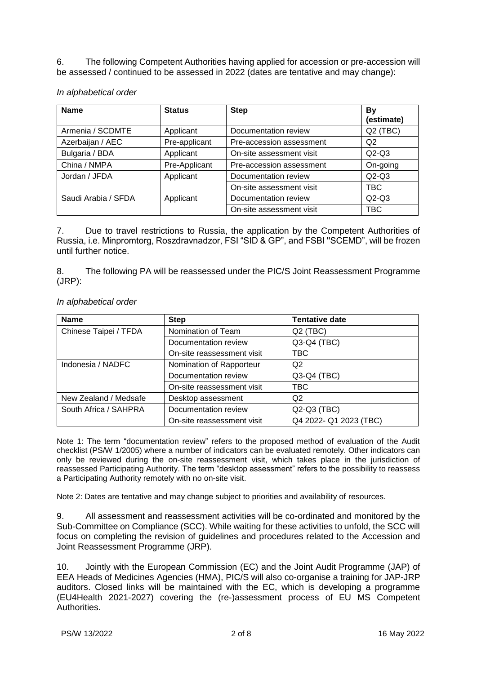6. The following Competent Authorities having applied for accession or pre-accession will be assessed / continued to be assessed in 2022 (dates are tentative and may change):

| <b>Name</b>         | <b>Status</b> | <b>Step</b>              | By<br>(estimate) |
|---------------------|---------------|--------------------------|------------------|
| Armenia / SCDMTE    | Applicant     | Documentation review     | $Q2$ (TBC)       |
| Azerbaijan / AEC    | Pre-applicant | Pre-accession assessment | Q2               |
| Bulgaria / BDA      | Applicant     | On-site assessment visit | $Q2-Q3$          |
| China / NMPA        | Pre-Applicant | Pre-accession assessment | On-going         |
| Jordan / JFDA       | Applicant     | Documentation review     | $Q2-Q3$          |
|                     |               | On-site assessment visit | TBC              |
| Saudi Arabia / SFDA | Applicant     | Documentation review     | $Q2-Q3$          |
|                     |               | On-site assessment visit | TBC              |

*In alphabetical order*

7. Due to travel restrictions to Russia, the application by the Competent Authorities of Russia, i.e. Minpromtorg, Roszdravnadzor, FSI "SID & GP", and FSBI ''SCEMD", will be frozen until further notice.

8. The following PA will be reassessed under the PIC/S Joint Reassessment Programme (JRP):

| <b>Name</b>           | <b>Step</b>                | <b>Tentative date</b>  |
|-----------------------|----------------------------|------------------------|
| Chinese Taipei / TFDA | Nomination of Team         | $Q2$ (TBC)             |
|                       | Documentation review       | Q3-Q4 (TBC)            |
|                       | On-site reassessment visit | TBC                    |
| Indonesia / NADFC     | Nomination of Rapporteur   | Q2                     |
|                       | Documentation review       | Q3-Q4 (TBC)            |
|                       | On-site reassessment visit | TBC.                   |
| New Zealand / Medsafe | Desktop assessment         | Q <sub>2</sub>         |
| South Africa / SAHPRA | Documentation review       | Q2-Q3 (TBC)            |
|                       | On-site reassessment visit | Q4 2022- Q1 2023 (TBC) |

#### *In alphabetical order*

Note 1: The term "documentation review" refers to the proposed method of evaluation of the Audit checklist (PS/W 1/2005) where a number of indicators can be evaluated remotely. Other indicators can only be reviewed during the on-site reassessment visit, which takes place in the jurisdiction of reassessed Participating Authority. The term "desktop assessment" refers to the possibility to reassess a Participating Authority remotely with no on-site visit.

Note 2: Dates are tentative and may change subject to priorities and availability of resources.

9. All assessment and reassessment activities will be co-ordinated and monitored by the Sub-Committee on Compliance (SCC). While waiting for these activities to unfold, the SCC will focus on completing the revision of guidelines and procedures related to the Accession and Joint Reassessment Programme (JRP).

10. Jointly with the European Commission (EC) and the Joint Audit Programme (JAP) of EEA Heads of Medicines Agencies (HMA), PIC/S will also co-organise a training for JAP-JRP auditors. Closed links will be maintained with the EC, which is developing a programme (EU4Health 2021-2027) covering the (re-)assessment process of EU MS Competent Authorities.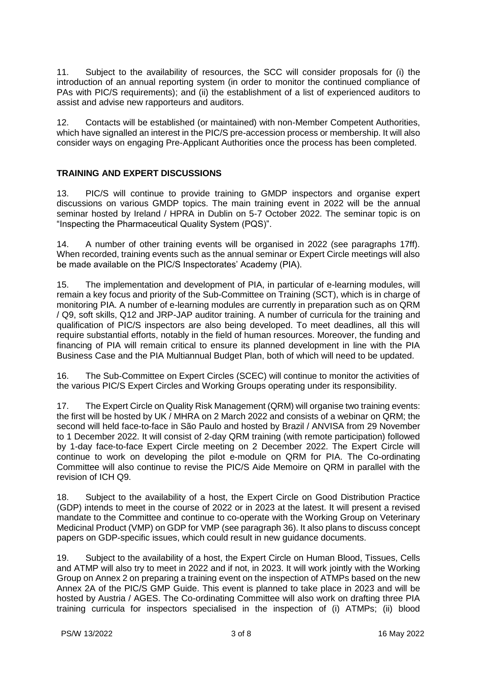11. Subject to the availability of resources, the SCC will consider proposals for (i) the introduction of an annual reporting system (in order to monitor the continued compliance of PAs with PIC/S requirements); and (ii) the establishment of a list of experienced auditors to assist and advise new rapporteurs and auditors.

12. Contacts will be established (or maintained) with non-Member Competent Authorities, which have signalled an interest in the PIC/S pre-accession process or membership. It will also consider ways on engaging Pre-Applicant Authorities once the process has been completed.

## **TRAINING AND EXPERT DISCUSSIONS**

13. PIC/S will continue to provide training to GMDP inspectors and organise expert discussions on various GMDP topics. The main training event in 2022 will be the annual seminar hosted by Ireland / HPRA in Dublin on 5-7 October 2022. The seminar topic is on "Inspecting the Pharmaceutical Quality System (PQS)".

14. A number of other training events will be organised in 2022 (see paragraphs 17ff). When recorded, training events such as the annual seminar or Expert Circle meetings will also be made available on the PIC/S Inspectorates' Academy (PIA).

15. The implementation and development of PIA, in particular of e-learning modules, will remain a key focus and priority of the Sub-Committee on Training (SCT), which is in charge of monitoring PIA. A number of e-learning modules are currently in preparation such as on QRM / Q9, soft skills, Q12 and JRP-JAP auditor training. A number of curricula for the training and qualification of PIC/S inspectors are also being developed. To meet deadlines, all this will require substantial efforts, notably in the field of human resources. Moreover, the funding and financing of PIA will remain critical to ensure its planned development in line with the PIA Business Case and the PIA Multiannual Budget Plan, both of which will need to be updated.

16. The Sub-Committee on Expert Circles (SCEC) will continue to monitor the activities of the various PIC/S Expert Circles and Working Groups operating under its responsibility.

17. The Expert Circle on Quality Risk Management (QRM) will organise two training events: the first will be hosted by UK / MHRA on 2 March 2022 and consists of a webinar on QRM; the second will held face-to-face in São Paulo and hosted by Brazil / ANVISA from 29 November to 1 December 2022. It will consist of 2-day QRM training (with remote participation) followed by 1-day face-to-face Expert Circle meeting on 2 December 2022. The Expert Circle will continue to work on developing the pilot e-module on QRM for PIA. The Co-ordinating Committee will also continue to revise the PIC/S Aide Memoire on QRM in parallel with the revision of ICH Q9.

18. Subject to the availability of a host, the Expert Circle on Good Distribution Practice (GDP) intends to meet in the course of 2022 or in 2023 at the latest. It will present a revised mandate to the Committee and continue to co-operate with the Working Group on Veterinary Medicinal Product (VMP) on GDP for VMP (see paragraph 36). It also plans to discuss concept papers on GDP-specific issues, which could result in new guidance documents.

19. Subject to the availability of a host, the Expert Circle on Human Blood, Tissues, Cells and ATMP will also try to meet in 2022 and if not, in 2023. It will work jointly with the Working Group on Annex 2 on preparing a training event on the inspection of ATMPs based on the new Annex 2A of the PIC/S GMP Guide. This event is planned to take place in 2023 and will be hosted by Austria / AGES. The Co-ordinating Committee will also work on drafting three PIA training curricula for inspectors specialised in the inspection of (i) ATMPs; (ii) blood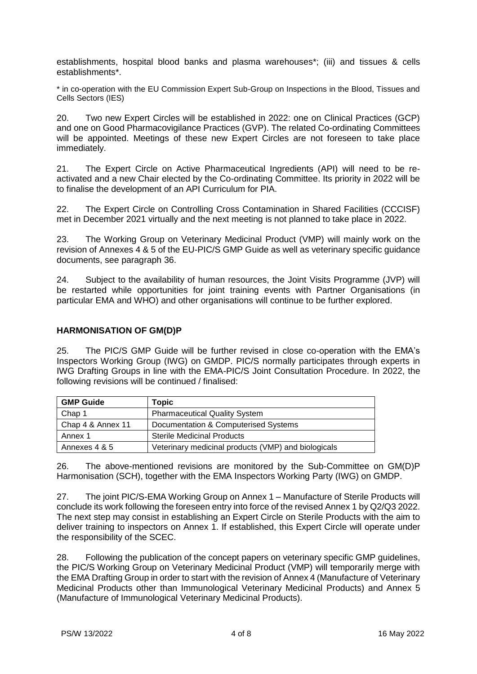establishments, hospital blood banks and plasma warehouses\*; (iii) and tissues & cells establishments\*.

\* in co-operation with the EU Commission Expert Sub-Group on Inspections in the Blood, Tissues and Cells Sectors (IES)

20. Two new Expert Circles will be established in 2022: one on Clinical Practices (GCP) and one on Good Pharmacovigilance Practices (GVP). The related Co-ordinating Committees will be appointed. Meetings of these new Expert Circles are not foreseen to take place immediately.

21. The Expert Circle on Active Pharmaceutical Ingredients (API) will need to be reactivated and a new Chair elected by the Co-ordinating Committee. Its priority in 2022 will be to finalise the development of an API Curriculum for PIA.

22. The Expert Circle on Controlling Cross Contamination in Shared Facilities (CCCISF) met in December 2021 virtually and the next meeting is not planned to take place in 2022.

23. The Working Group on Veterinary Medicinal Product (VMP) will mainly work on the revision of Annexes 4 & 5 of the EU-PIC/S GMP Guide as well as veterinary specific guidance documents, see paragraph 36.

24. Subject to the availability of human resources, the Joint Visits Programme (JVP) will be restarted while opportunities for joint training events with Partner Organisations (in particular EMA and WHO) and other organisations will continue to be further explored.

#### **HARMONISATION OF GM(D)P**

25. The PIC/S GMP Guide will be further revised in close co-operation with the EMA's Inspectors Working Group (IWG) on GMDP. PIC/S normally participates through experts in IWG Drafting Groups in line with the EMA-PIC/S Joint Consultation Procedure. In 2022, the following revisions will be continued / finalised:

| <b>GMP Guide</b>  | Topic                                               |
|-------------------|-----------------------------------------------------|
| Chap 1            | <b>Pharmaceutical Quality System</b>                |
| Chap 4 & Annex 11 | Documentation & Computerised Systems                |
| Annex 1           | <b>Sterile Medicinal Products</b>                   |
| Annexes 4 & 5     | Veterinary medicinal products (VMP) and biologicals |

26. The above-mentioned revisions are monitored by the Sub-Committee on GM(D)P Harmonisation (SCH), together with the EMA Inspectors Working Party (IWG) on GMDP.

27. The joint PIC/S-EMA Working Group on Annex 1 – Manufacture of Sterile Products will conclude its work following the foreseen entry into force of the revised Annex 1 by Q2/Q3 2022. The next step may consist in establishing an Expert Circle on Sterile Products with the aim to deliver training to inspectors on Annex 1. If established, this Expert Circle will operate under the responsibility of the SCEC.

28. Following the publication of the concept papers on veterinary specific GMP guidelines, the PIC/S Working Group on Veterinary Medicinal Product (VMP) will temporarily merge with the EMA Drafting Group in order to start with the revision of Annex 4 (Manufacture of Veterinary Medicinal Products other than Immunological Veterinary Medicinal Products) and Annex 5 (Manufacture of Immunological Veterinary Medicinal Products).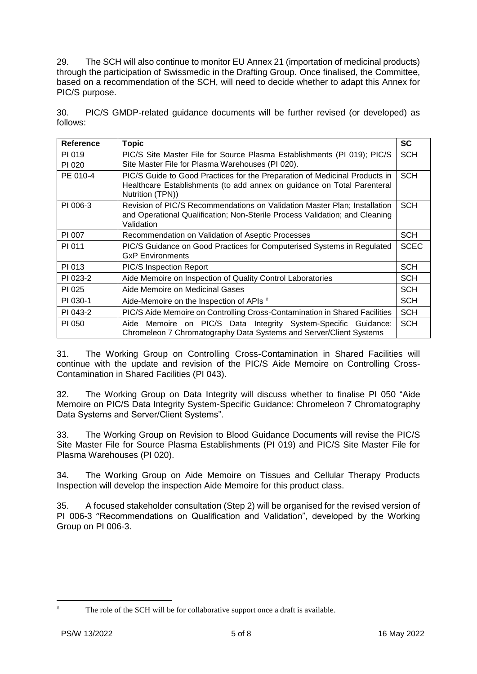29. The SCH will also continue to monitor EU Annex 21 (importation of medicinal products) through the participation of Swissmedic in the Drafting Group. Once finalised, the Committee, based on a recommendation of the SCH, will need to decide whether to adapt this Annex for PIC/S purpose.

30. PIC/S GMDP-related guidance documents will be further revised (or developed) as follows:

| <b>Reference</b> | <b>Topic</b>                                                                                                                                                              | <b>SC</b>   |
|------------------|---------------------------------------------------------------------------------------------------------------------------------------------------------------------------|-------------|
| PI 019<br>PI 020 | PIC/S Site Master File for Source Plasma Establishments (PI 019); PIC/S<br>Site Master File for Plasma Warehouses (PI 020).                                               | <b>SCH</b>  |
| PE 010-4         | PIC/S Guide to Good Practices for the Preparation of Medicinal Products in<br>Healthcare Establishments (to add annex on guidance on Total Parenteral<br>Nutrition (TPN)) | <b>SCH</b>  |
| PI 006-3         | Revision of PIC/S Recommendations on Validation Master Plan; Installation<br>and Operational Qualification; Non-Sterile Process Validation; and Cleaning<br>Validation    | <b>SCH</b>  |
| PI 007           | Recommendation on Validation of Aseptic Processes                                                                                                                         | <b>SCH</b>  |
| PI 011           | PIC/S Guidance on Good Practices for Computerised Systems in Regulated<br><b>GxP Environments</b>                                                                         | <b>SCEC</b> |
| PI 013           | <b>PIC/S Inspection Report</b>                                                                                                                                            | <b>SCH</b>  |
| PI 023-2         | Aide Memoire on Inspection of Quality Control Laboratories                                                                                                                | <b>SCH</b>  |
| PI 025           | Aide Memoire on Medicinal Gases                                                                                                                                           | <b>SCH</b>  |
| PI 030-1         | Aide-Memoire on the Inspection of APIs #                                                                                                                                  | <b>SCH</b>  |
| PI 043-2         | PIC/S Aide Memoire on Controlling Cross-Contamination in Shared Facilities                                                                                                | <b>SCH</b>  |
| PI 050           | Aide Memoire on PIC/S Data Integrity System-Specific Guidance:<br>Chromeleon 7 Chromatography Data Systems and Server/Client Systems                                      | <b>SCH</b>  |

31. The Working Group on Controlling Cross-Contamination in Shared Facilities will continue with the update and revision of the PIC/S Aide Memoire on Controlling Cross-Contamination in Shared Facilities (PI 043).

32. The Working Group on Data Integrity will discuss whether to finalise PI 050 "Aide Memoire on PIC/S Data Integrity System-Specific Guidance: Chromeleon 7 Chromatography Data Systems and Server/Client Systems".

33. The Working Group on Revision to Blood Guidance Documents will revise the PIC/S Site Master File for Source Plasma Establishments (PI 019) and PIC/S Site Master File for Plasma Warehouses (PI 020).

34. The Working Group on Aide Memoire on Tissues and Cellular Therapy Products Inspection will develop the inspection Aide Memoire for this product class.

35. A focused stakeholder consultation (Step 2) will be organised for the revised version of PI 006-3 "Recommendations on Qualification and Validation", developed by the Working Group on PI 006-3.

1

The role of the SCH will be for collaborative support once a draft is available.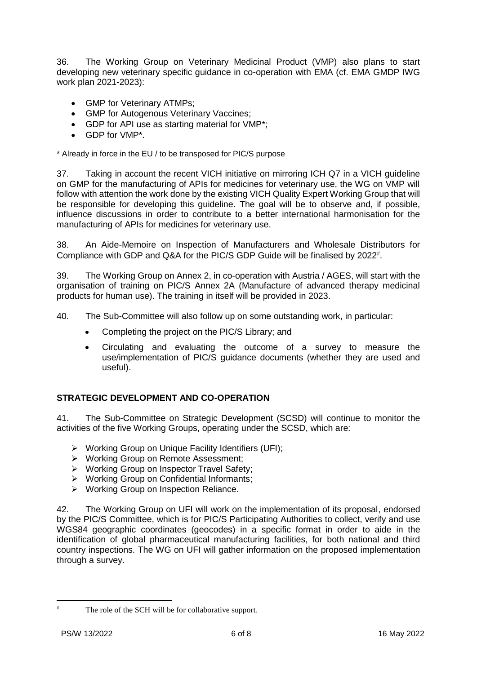36. The Working Group on Veterinary Medicinal Product (VMP) also plans to start developing new veterinary specific guidance in co-operation with EMA (cf. EMA GMDP IWG work plan 2021-2023):

- GMP for Veterinary ATMPs;
- GMP for Autogenous Veterinary Vaccines;
- GDP for API use as starting material for VMP\*;
- GDP for VMP\*.

\* Already in force in the EU / to be transposed for PIC/S purpose

37. Taking in account the recent VICH initiative on mirroring ICH Q7 in a VICH guideline on GMP for the manufacturing of APIs for medicines for veterinary use, the WG on VMP will follow with attention the work done by the existing VICH Quality Expert Working Group that will be responsible for developing this guideline. The goal will be to observe and, if possible, influence discussions in order to contribute to a better international harmonisation for the manufacturing of APIs for medicines for veterinary use.

38. An Aide-Memoire on Inspection of Manufacturers and Wholesale Distributors for Compliance with GDP and Q&A for the PIC/S GDP Guide will be finalised by 2022 .

39. The Working Group on Annex 2, in co-operation with Austria / AGES, will start with the organisation of training on PIC/S Annex 2A (Manufacture of advanced therapy medicinal products for human use). The training in itself will be provided in 2023.

40. The Sub-Committee will also follow up on some outstanding work, in particular:

- Completing the project on the PIC/S Library; and
- Circulating and evaluating the outcome of a survey to measure the use/implementation of PIC/S guidance documents (whether they are used and useful).

# **STRATEGIC DEVELOPMENT AND CO-OPERATION**

41. The Sub-Committee on Strategic Development (SCSD) will continue to monitor the activities of the five Working Groups, operating under the SCSD, which are:

- Working Group on Unique Facility Identifiers (UFI);
- > Working Group on Remote Assessment;
- Working Group on Inspector Travel Safety;
- Working Group on Confidential Informants;
- ▶ Working Group on Inspection Reliance.

42. The Working Group on UFI will work on the implementation of its proposal, endorsed by the PIC/S Committee, which is for PIC/S Participating Authorities to collect, verify and use WGS84 geographic coordinates (geocodes) in a specific format in order to aide in the identification of global pharmaceutical manufacturing facilities, for both national and third country inspections. The WG on UFI will gather information on the proposed implementation through a survey.

<sup>1</sup> 

The role of the SCH will be for collaborative support.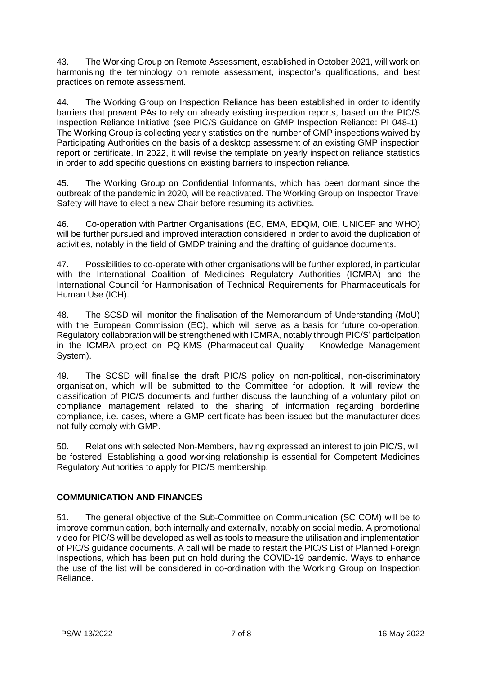43. The Working Group on Remote Assessment, established in October 2021, will work on harmonising the terminology on remote assessment, inspector's qualifications, and best practices on remote assessment.

44. The Working Group on Inspection Reliance has been established in order to identify barriers that prevent PAs to rely on already existing inspection reports, based on the PIC/S Inspection Reliance Initiative (see PIC/S Guidance on GMP Inspection Reliance: PI 048-1). The Working Group is collecting yearly statistics on the number of GMP inspections waived by Participating Authorities on the basis of a desktop assessment of an existing GMP inspection report or certificate. In 2022, it will revise the template on yearly inspection reliance statistics in order to add specific questions on existing barriers to inspection reliance.

45. The Working Group on Confidential Informants, which has been dormant since the outbreak of the pandemic in 2020, will be reactivated. The Working Group on Inspector Travel Safety will have to elect a new Chair before resuming its activities.

46. Co-operation with Partner Organisations (EC, EMA, EDQM, OIE, UNICEF and WHO) will be further pursued and improved interaction considered in order to avoid the duplication of activities, notably in the field of GMDP training and the drafting of guidance documents.

47. Possibilities to co-operate with other organisations will be further explored, in particular with the International Coalition of Medicines Regulatory Authorities (ICMRA) and the International Council for Harmonisation of Technical Requirements for Pharmaceuticals for Human Use (ICH).

48. The SCSD will monitor the finalisation of the Memorandum of Understanding (MoU) with the European Commission (EC), which will serve as a basis for future co-operation. Regulatory collaboration will be strengthened with ICMRA, notably through PIC/S' participation in the ICMRA project on PQ-KMS (Pharmaceutical Quality – Knowledge Management System).

49. The SCSD will finalise the draft PIC/S policy on non-political, non-discriminatory organisation, which will be submitted to the Committee for adoption. It will review the classification of PIC/S documents and further discuss the launching of a voluntary pilot on compliance management related to the sharing of information regarding borderline compliance, i.e. cases, where a GMP certificate has been issued but the manufacturer does not fully comply with GMP.

50. Relations with selected Non-Members, having expressed an interest to join PIC/S, will be fostered. Establishing a good working relationship is essential for Competent Medicines Regulatory Authorities to apply for PIC/S membership.

# **COMMUNICATION AND FINANCES**

51. The general objective of the Sub-Committee on Communication (SC COM) will be to improve communication, both internally and externally, notably on social media. A promotional video for PIC/S will be developed as well as tools to measure the utilisation and implementation of PIC/S guidance documents. A call will be made to restart the PIC/S List of Planned Foreign Inspections, which has been put on hold during the COVID-19 pandemic. Ways to enhance the use of the list will be considered in co-ordination with the Working Group on Inspection Reliance.